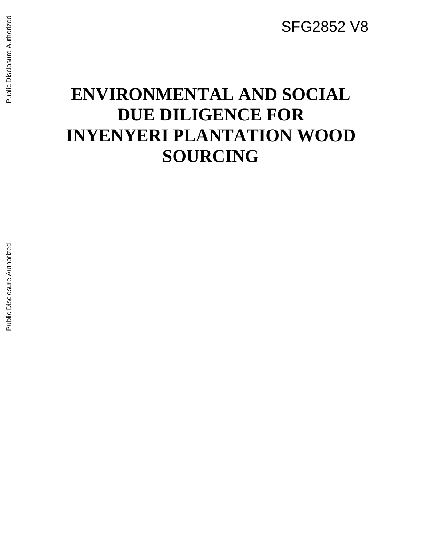SFG2852 V8

# **ENVIRONMENTAL AND SOCIAL DUE DILIGENCE FOR INYENYERI PLANTATION WOOD SOURCING**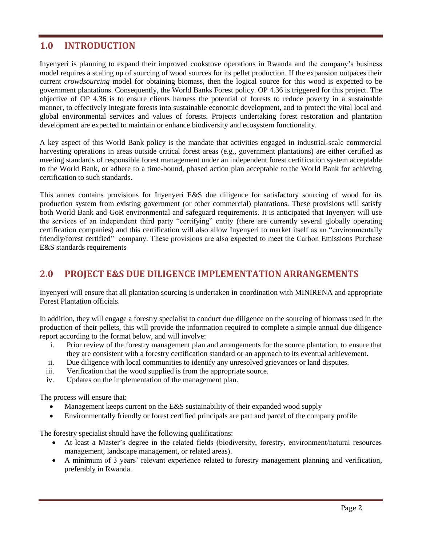## **1.0 INTRODUCTION**

Inyenyeri is planning to expand their improved cookstove operations in Rwanda and the company's business model requires a scaling up of sourcing of wood sources for its pellet production. If the expansion outpaces their current *crowdsourcing* model for obtaining biomass, then the logical source for this wood is expected to be government plantations. Consequently, the World Banks Forest policy. OP 4.36 is triggered for this project. The objective of OP 4.36 is to ensure clients harness the potential of forests to reduce poverty in a sustainable manner, to effectively integrate forests into sustainable economic development, and to protect the vital local and global environmental services and values of forests. Projects undertaking forest restoration and plantation development are expected to maintain or enhance biodiversity and ecosystem functionality.

A key aspect of this World Bank policy is the mandate that activities engaged in industrial-scale commercial harvesting operations in areas outside critical forest areas (e.g., government plantations) are either certified as meeting standards of responsible forest management under an independent forest certification system acceptable to the World Bank, or adhere to a time-bound, phased action plan acceptable to the World Bank for achieving certification to such standards.

This annex contains provisions for Inyenyeri E&S due diligence for satisfactory sourcing of wood for its production system from existing government (or other commercial) plantations. These provisions will satisfy both World Bank and GoR environmental and safeguard requirements. It is anticipated that Inyenyeri will use the services of an independent third party "certifying" entity (there are currently several globally operating certification companies) and this certification will also allow Inyenyeri to market itself as an "environmentally friendly/forest certified" company. These provisions are also expected to meet the Carbon Emissions Purchase E&S standards requirements

## **2.0 PROJECT E&S DUE DILIGENCE IMPLEMENTATION ARRANGEMENTS**

Inyenyeri will ensure that all plantation sourcing is undertaken in coordination with MINIRENA and appropriate Forest Plantation officials.

In addition, they will engage a forestry specialist to conduct due diligence on the sourcing of biomass used in the production of their pellets, this will provide the information required to complete a simple annual due diligence report according to the format below, and will involve:

- i. Prior review of the forestry management plan and arrangements for the source plantation, to ensure that they are consistent with a forestry certification standard or an approach to its eventual achievement.
- ii. Due diligence with local communities to identify any unresolved grievances or land disputes.
- iii. Verification that the wood supplied is from the appropriate source.
- iv. Updates on the implementation of the management plan.

The process will ensure that:

- Management keeps current on the E&S sustainability of their expanded wood supply
- Environmentally friendly or forest certified principals are part and parcel of the company profile

The forestry specialist should have the following qualifications:

- At least a Master's degree in the related fields (biodiversity, forestry, environment/natural resources management, landscape management, or related areas).
- A minimum of 3 years' relevant experience related to forestry management planning and verification, preferably in Rwanda.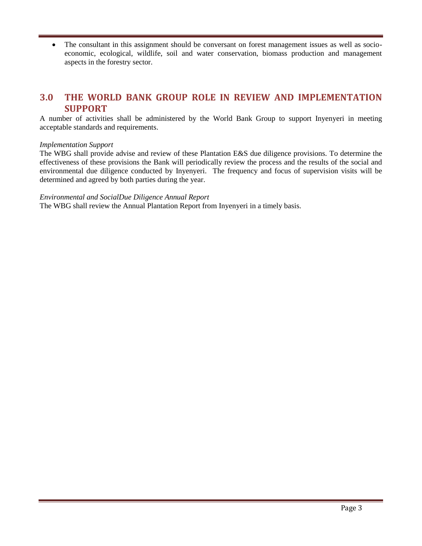• The consultant in this assignment should be conversant on forest management issues as well as socioeconomic, ecological, wildlife, soil and water conservation, biomass production and management aspects in the forestry sector.

## **3.0 THE WORLD BANK GROUP ROLE IN REVIEW AND IMPLEMENTATION SUPPORT**

A number of activities shall be administered by the World Bank Group to support Inyenyeri in meeting acceptable standards and requirements.

#### *Implementation Support*

The WBG shall provide advise and review of these Plantation E&S due diligence provisions. To determine the effectiveness of these provisions the Bank will periodically review the process and the results of the social and environmental due diligence conducted by Inyenyeri. The frequency and focus of supervision visits will be determined and agreed by both parties during the year.

#### *Environmental and SocialDue Diligence Annual Report*

The WBG shall review the Annual Plantation Report from Inyenyeri in a timely basis.